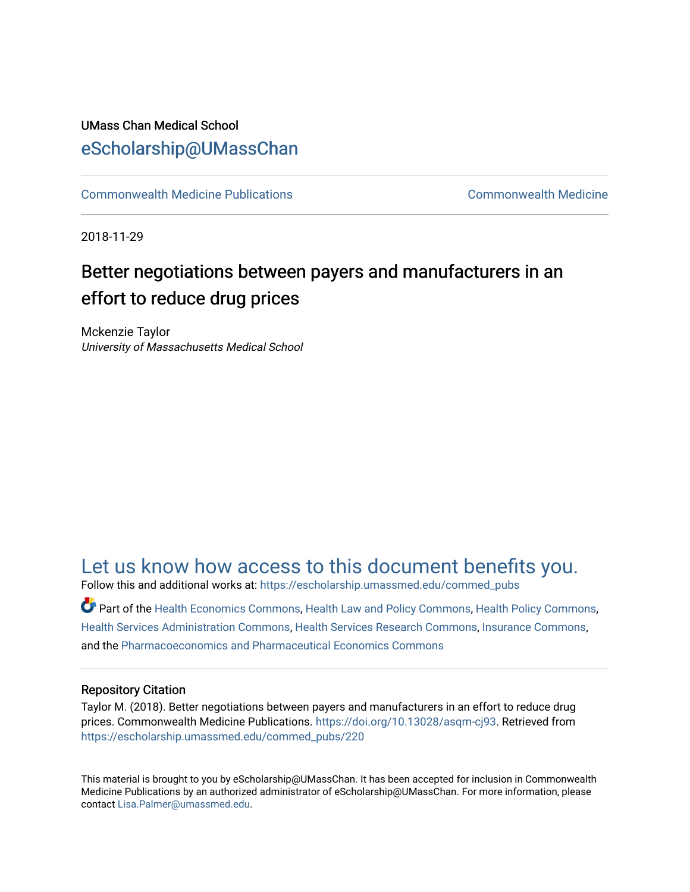#### UMass Chan Medical School [eScholarship@UMassChan](https://escholarship.umassmed.edu/)

[Commonwealth Medicine Publications](https://escholarship.umassmed.edu/commed_pubs) [Commonwealth Medicine](https://escholarship.umassmed.edu/commed) 

2018-11-29

## Better negotiations between payers and manufacturers in an effort to reduce drug prices

Mckenzie Taylor University of Massachusetts Medical School

### [Let us know how access to this document benefits you.](https://arcsapps.umassmed.edu/redcap/surveys/?s=XWRHNF9EJE)

Follow this and additional works at: [https://escholarship.umassmed.edu/commed\\_pubs](https://escholarship.umassmed.edu/commed_pubs?utm_source=escholarship.umassmed.edu%2Fcommed_pubs%2F220&utm_medium=PDF&utm_campaign=PDFCoverPages)

Part of the [Health Economics Commons,](http://network.bepress.com/hgg/discipline/1085?utm_source=escholarship.umassmed.edu%2Fcommed_pubs%2F220&utm_medium=PDF&utm_campaign=PDFCoverPages) [Health Law and Policy Commons,](http://network.bepress.com/hgg/discipline/901?utm_source=escholarship.umassmed.edu%2Fcommed_pubs%2F220&utm_medium=PDF&utm_campaign=PDFCoverPages) [Health Policy Commons](http://network.bepress.com/hgg/discipline/395?utm_source=escholarship.umassmed.edu%2Fcommed_pubs%2F220&utm_medium=PDF&utm_campaign=PDFCoverPages), [Health Services Administration Commons,](http://network.bepress.com/hgg/discipline/747?utm_source=escholarship.umassmed.edu%2Fcommed_pubs%2F220&utm_medium=PDF&utm_campaign=PDFCoverPages) [Health Services Research Commons,](http://network.bepress.com/hgg/discipline/816?utm_source=escholarship.umassmed.edu%2Fcommed_pubs%2F220&utm_medium=PDF&utm_campaign=PDFCoverPages) [Insurance Commons](http://network.bepress.com/hgg/discipline/645?utm_source=escholarship.umassmed.edu%2Fcommed_pubs%2F220&utm_medium=PDF&utm_campaign=PDFCoverPages), and the [Pharmacoeconomics and Pharmaceutical Economics Commons](http://network.bepress.com/hgg/discipline/736?utm_source=escholarship.umassmed.edu%2Fcommed_pubs%2F220&utm_medium=PDF&utm_campaign=PDFCoverPages) 

#### Repository Citation

Taylor M. (2018). Better negotiations between payers and manufacturers in an effort to reduce drug prices. Commonwealth Medicine Publications. [https://doi.org/10.13028/asqm-cj93.](https://doi.org/10.13028/asqm-cj93) Retrieved from [https://escholarship.umassmed.edu/commed\\_pubs/220](https://escholarship.umassmed.edu/commed_pubs/220?utm_source=escholarship.umassmed.edu%2Fcommed_pubs%2F220&utm_medium=PDF&utm_campaign=PDFCoverPages) 

This material is brought to you by eScholarship@UMassChan. It has been accepted for inclusion in Commonwealth Medicine Publications by an authorized administrator of eScholarship@UMassChan. For more information, please contact [Lisa.Palmer@umassmed.edu.](mailto:Lisa.Palmer@umassmed.edu)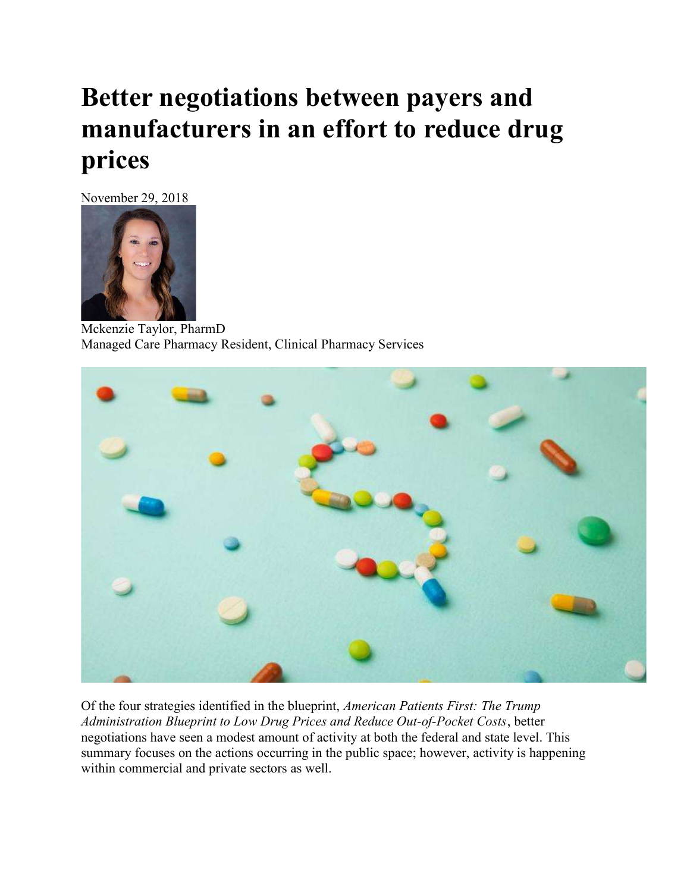# Better negotiations between payers and manufacturers in an effort to reduce drug prices

November 29, 2018



Mckenzie Taylor, PharmD Managed Care Pharmacy Resident, Clinical Pharmacy Services



Of the four strategies identified in the blueprint, American Patients First: The Trump Administration Blueprint to Low Drug Prices and Reduce Out-of-Pocket Costs, better negotiations have seen a modest amount of activity at both the federal and state level. This summary focuses on the actions occurring in the public space; however, activity is happening within commercial and private sectors as well.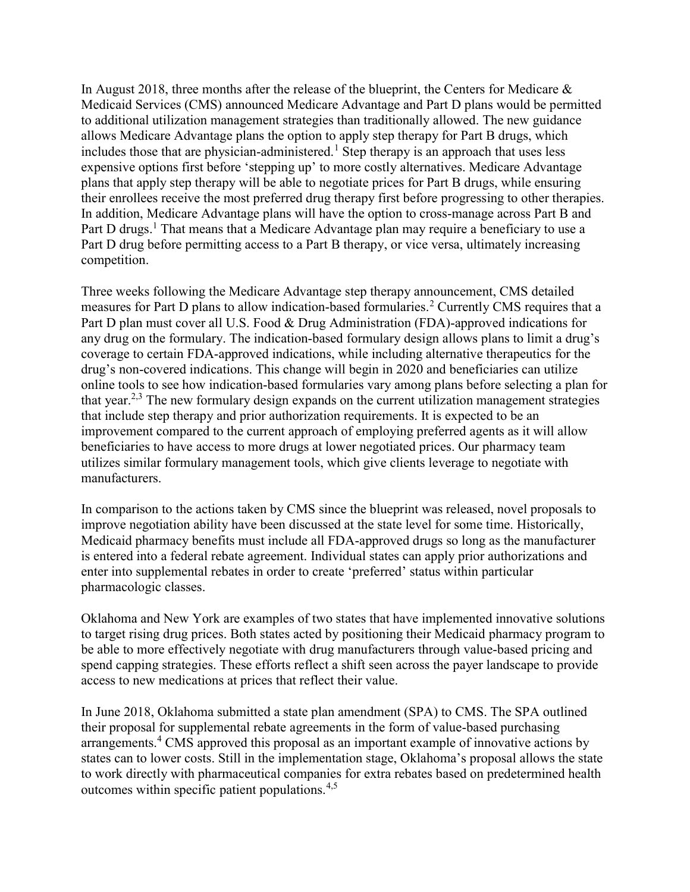In August 2018, three months after the release of the blueprint, the Centers for Medicare & Medicaid Services (CMS) announced Medicare Advantage and Part D plans would be permitted to additional utilization management strategies than traditionally allowed. The new guidance allows Medicare Advantage plans the option to apply step therapy for Part B drugs, which includes those that are physician-administered.<sup>1</sup> Step therapy is an approach that uses less expensive options first before 'stepping up' to more costly alternatives. Medicare Advantage plans that apply step therapy will be able to negotiate prices for Part B drugs, while ensuring their enrollees receive the most preferred drug therapy first before progressing to other therapies. In addition, Medicare Advantage plans will have the option to cross-manage across Part B and Part D drugs.<sup>1</sup> That means that a Medicare Advantage plan may require a beneficiary to use a Part D drug before permitting access to a Part B therapy, or vice versa, ultimately increasing competition.

Three weeks following the Medicare Advantage step therapy announcement, CMS detailed measures for Part D plans to allow indication-based formularies.<sup>2</sup> Currently CMS requires that a Part D plan must cover all U.S. Food & Drug Administration (FDA)-approved indications for any drug on the formulary. The indication-based formulary design allows plans to limit a drug's coverage to certain FDA-approved indications, while including alternative therapeutics for the drug's non-covered indications. This change will begin in 2020 and beneficiaries can utilize online tools to see how indication-based formularies vary among plans before selecting a plan for that year.<sup>2,3</sup> The new formulary design expands on the current utilization management strategies that include step therapy and prior authorization requirements. It is expected to be an improvement compared to the current approach of employing preferred agents as it will allow beneficiaries to have access to more drugs at lower negotiated prices. Our pharmacy team utilizes similar formulary management tools, which give clients leverage to negotiate with manufacturers.

In comparison to the actions taken by CMS since the blueprint was released, novel proposals to improve negotiation ability have been discussed at the state level for some time. Historically, Medicaid pharmacy benefits must include all FDA-approved drugs so long as the manufacturer is entered into a federal rebate agreement. Individual states can apply prior authorizations and enter into supplemental rebates in order to create 'preferred' status within particular pharmacologic classes.

Oklahoma and New York are examples of two states that have implemented innovative solutions to target rising drug prices. Both states acted by positioning their Medicaid pharmacy program to be able to more effectively negotiate with drug manufacturers through value-based pricing and spend capping strategies. These efforts reflect a shift seen across the payer landscape to provide access to new medications at prices that reflect their value.

In June 2018, Oklahoma submitted a state plan amendment (SPA) to CMS. The SPA outlined their proposal for supplemental rebate agreements in the form of value-based purchasing arrangements.<sup>4</sup> CMS approved this proposal as an important example of innovative actions by states can to lower costs. Still in the implementation stage, Oklahoma's proposal allows the state to work directly with pharmaceutical companies for extra rebates based on predetermined health outcomes within specific patient populations.4,5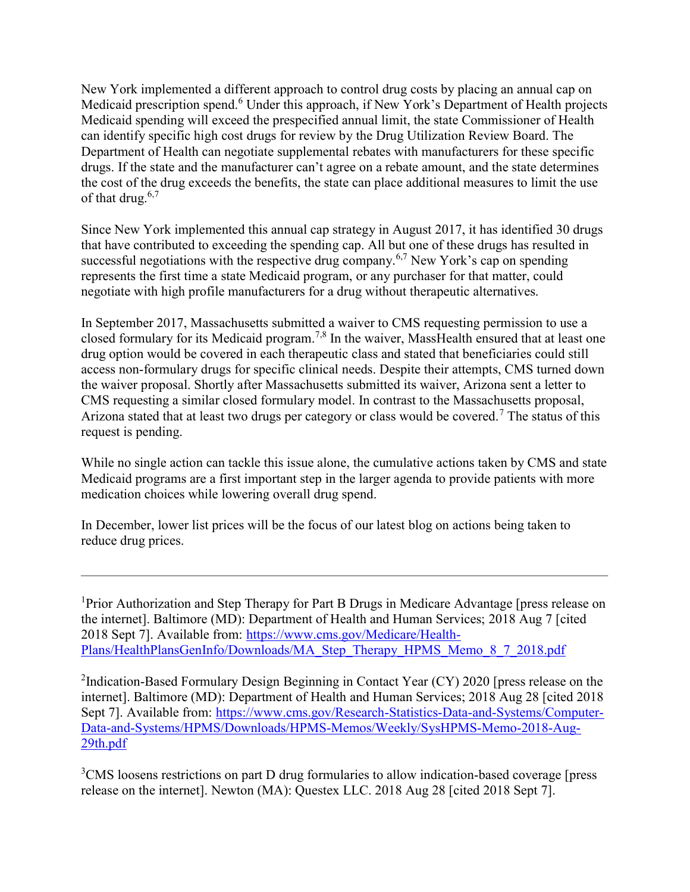New York implemented a different approach to control drug costs by placing an annual cap on Medicaid prescription spend.<sup>6</sup> Under this approach, if New York's Department of Health projects Medicaid spending will exceed the prespecified annual limit, the state Commissioner of Health can identify specific high cost drugs for review by the Drug Utilization Review Board. The Department of Health can negotiate supplemental rebates with manufacturers for these specific drugs. If the state and the manufacturer can't agree on a rebate amount, and the state determines the cost of the drug exceeds the benefits, the state can place additional measures to limit the use of that drug. $6,7$ 

Since New York implemented this annual cap strategy in August 2017, it has identified 30 drugs that have contributed to exceeding the spending cap. All but one of these drugs has resulted in successful negotiations with the respective drug company.<sup>6,7</sup> New York's cap on spending represents the first time a state Medicaid program, or any purchaser for that matter, could negotiate with high profile manufacturers for a drug without therapeutic alternatives.

In September 2017, Massachusetts submitted a waiver to CMS requesting permission to use a closed formulary for its Medicaid program.<sup>7,8</sup> In the waiver, MassHealth ensured that at least one drug option would be covered in each therapeutic class and stated that beneficiaries could still access non-formulary drugs for specific clinical needs. Despite their attempts, CMS turned down the waiver proposal. Shortly after Massachusetts submitted its waiver, Arizona sent a letter to CMS requesting a similar closed formulary model. In contrast to the Massachusetts proposal, Arizona stated that at least two drugs per category or class would be covered.<sup>7</sup> The status of this request is pending.

While no single action can tackle this issue alone, the cumulative actions taken by CMS and state Medicaid programs are a first important step in the larger agenda to provide patients with more medication choices while lowering overall drug spend.

In December, lower list prices will be the focus of our latest blog on actions being taken to reduce drug prices.

<sup>1</sup>Prior Authorization and Step Therapy for Part B Drugs in Medicare Advantage [press release on the internet]. Baltimore (MD): Department of Health and Human Services; 2018 Aug 7 [cited 2018 Sept 7]. Available from: https://www.cms.gov/Medicare/Health-Plans/HealthPlansGenInfo/Downloads/MA\_Step\_Therapy\_HPMS\_Memo\_8\_7\_2018.pdf

<sup>2</sup>Indication-Based Formulary Design Beginning in Contact Year (CY) 2020 [press release on the internet]. Baltimore (MD): Department of Health and Human Services; 2018 Aug 28 [cited 2018 Sept 7]. Available from: https://www.cms.gov/Research-Statistics-Data-and-Systems/Computer-Data-and-Systems/HPMS/Downloads/HPMS-Memos/Weekly/SysHPMS-Memo-2018-Aug-29th.pdf

<sup>3</sup>CMS loosens restrictions on part D drug formularies to allow indication-based coverage [press release on the internet]. Newton (MA): Questex LLC. 2018 Aug 28 [cited 2018 Sept 7].